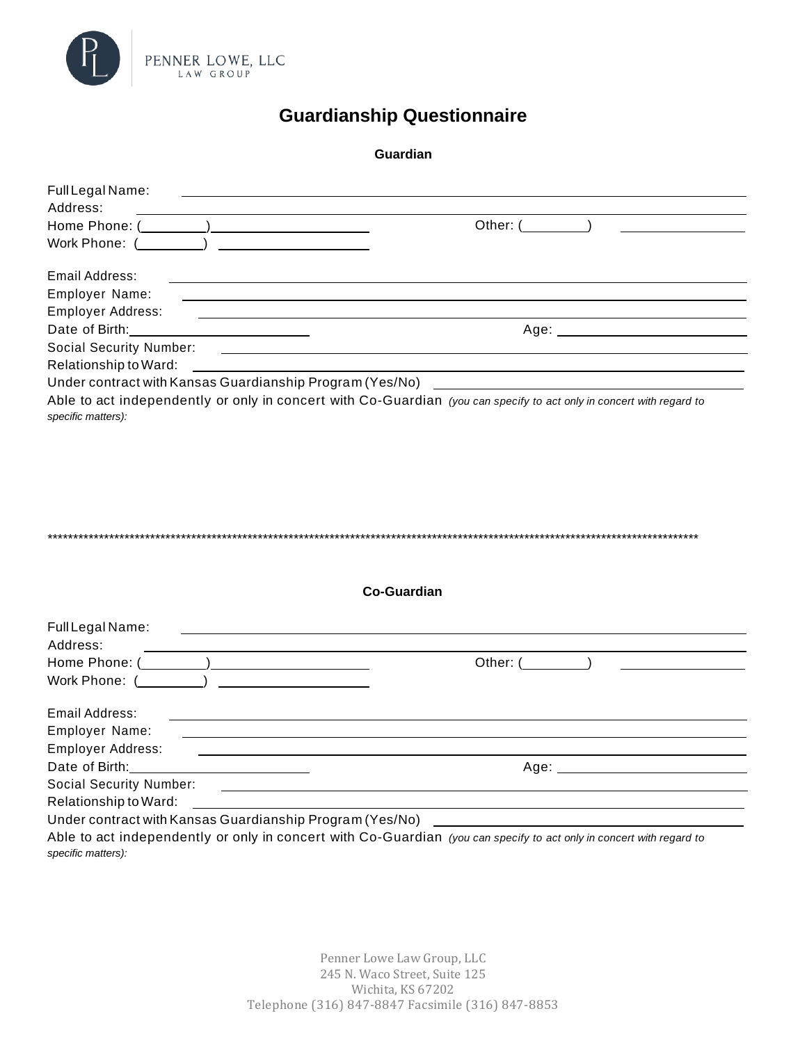

## **Guardianship Questionnaire**

| Guardian |
|----------|
|          |

| Full Legal Name:<br><u> 2008 - Andrea Andrew Maria (h. 1878).</u>                                                                                                                                                              |                                                                                                                                                                                                                                |
|--------------------------------------------------------------------------------------------------------------------------------------------------------------------------------------------------------------------------------|--------------------------------------------------------------------------------------------------------------------------------------------------------------------------------------------------------------------------------|
| Address:                                                                                                                                                                                                                       |                                                                                                                                                                                                                                |
|                                                                                                                                                                                                                                |                                                                                                                                                                                                                                |
|                                                                                                                                                                                                                                |                                                                                                                                                                                                                                |
|                                                                                                                                                                                                                                |                                                                                                                                                                                                                                |
| Email Address:                                                                                                                                                                                                                 | <u> 1989 - Johann Stoff, deutscher Stoffen und der Stoffen und der Stoffen und der Stoffen und der Stoffen und der</u>                                                                                                         |
| Employer Name:                                                                                                                                                                                                                 |                                                                                                                                                                                                                                |
| Employer Address:                                                                                                                                                                                                              |                                                                                                                                                                                                                                |
|                                                                                                                                                                                                                                |                                                                                                                                                                                                                                |
| Social Security Number: Cambridge Contract Contract Contract Contract Contract Contract Contract Contract Contract Contract Contract Contract Contract Contract Contract Contract Contract Contract Contract Contract Contract |                                                                                                                                                                                                                                |
|                                                                                                                                                                                                                                |                                                                                                                                                                                                                                |
|                                                                                                                                                                                                                                | Under contract with Kansas Guardianship Program (Yes/No) [1989] [2002] [2003] [2003] [2003] [2003] [2003] [200                                                                                                                 |
|                                                                                                                                                                                                                                | Able to act independently or only in concert with Co-Guardian (you can specify to act only in concert with regard to                                                                                                           |
| specific matters):                                                                                                                                                                                                             |                                                                                                                                                                                                                                |
|                                                                                                                                                                                                                                |                                                                                                                                                                                                                                |
|                                                                                                                                                                                                                                |                                                                                                                                                                                                                                |
|                                                                                                                                                                                                                                |                                                                                                                                                                                                                                |
|                                                                                                                                                                                                                                |                                                                                                                                                                                                                                |
|                                                                                                                                                                                                                                |                                                                                                                                                                                                                                |
|                                                                                                                                                                                                                                |                                                                                                                                                                                                                                |
|                                                                                                                                                                                                                                |                                                                                                                                                                                                                                |
|                                                                                                                                                                                                                                |                                                                                                                                                                                                                                |
|                                                                                                                                                                                                                                | Co-Guardian                                                                                                                                                                                                                    |
|                                                                                                                                                                                                                                |                                                                                                                                                                                                                                |
| Full Legal Name: Latin Management Control of the Management Control of the Management Control of the Management Control of the Management Control of the Management Control of the Management Control of the Management Contro |                                                                                                                                                                                                                                |
| Address:<br><u> 1989 - Andrea Stadt Britain, amerikansk politik (</u>                                                                                                                                                          |                                                                                                                                                                                                                                |
|                                                                                                                                                                                                                                | Other: $(\_\_)$<br><u> 1999 - John Stein, Amerikaansk politiker (</u>                                                                                                                                                          |
| Work Phone: ( )                                                                                                                                                                                                                |                                                                                                                                                                                                                                |
|                                                                                                                                                                                                                                |                                                                                                                                                                                                                                |
| Email Address:                                                                                                                                                                                                                 | <u> 1989 - Johann Stoff, deutscher Stoffen und der Stoffen und der Stoffen und der Stoffen und der Stoffen und de</u>                                                                                                          |
| Employer Name:                                                                                                                                                                                                                 | <u> 1989 - Johann Stoff, amerikansk politiker (d. 1989)</u>                                                                                                                                                                    |
| Employer Address:                                                                                                                                                                                                              |                                                                                                                                                                                                                                |
| Date of Birth: <u>contained</u>                                                                                                                                                                                                | Age: the contract of the contract of the contract of the contract of the contract of the contract of the contract of the contract of the contract of the contract of the contract of the contract of the contract of the contr |
|                                                                                                                                                                                                                                |                                                                                                                                                                                                                                |
| Relationship to Ward: Nelationship to Ward:                                                                                                                                                                                    |                                                                                                                                                                                                                                |
|                                                                                                                                                                                                                                | Under contract with Kansas Guardianship Program (Yes/No) [1989] [2002] [2003] [2003] [2003] [2003] [2003] [200                                                                                                                 |
|                                                                                                                                                                                                                                | Able to act independently or only in concert with Co-Guardian (you can specify to act only in concert with regard to                                                                                                           |
| specific matters):                                                                                                                                                                                                             |                                                                                                                                                                                                                                |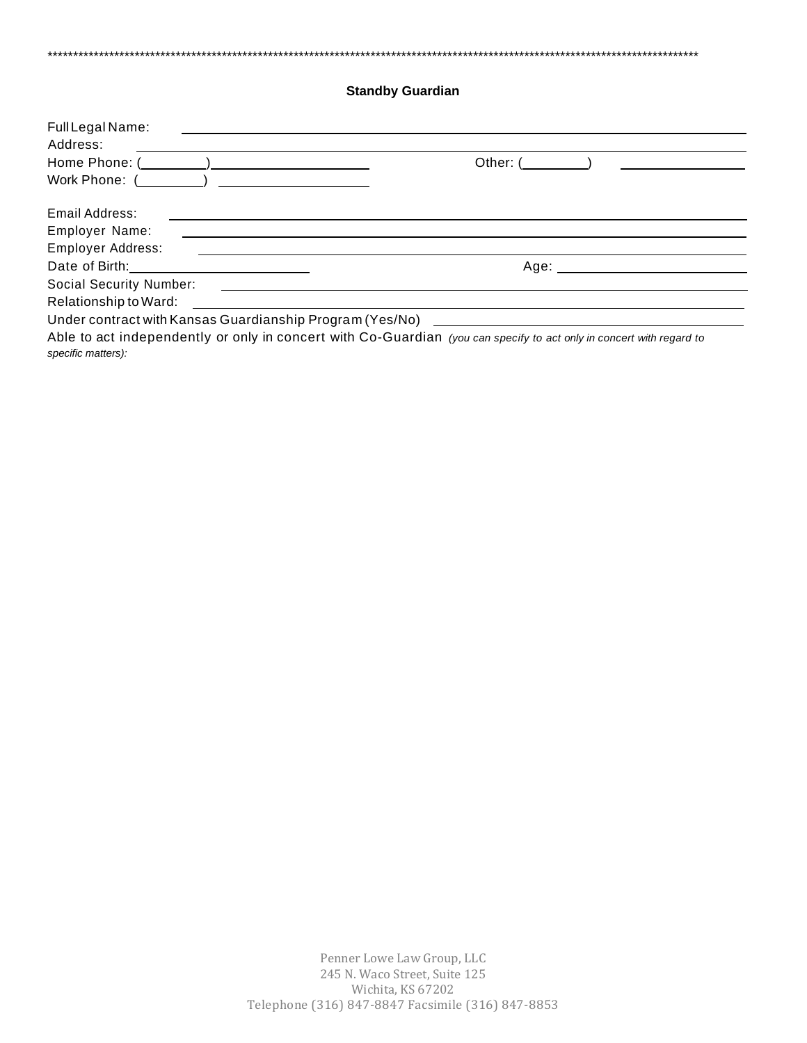## \*\*\*\*\*\*\*\*\*\*\*\*\*\*\*\*\*\*\*\*\*\*\*\*\*\*\*\*\*\*\*\*\*\*\*\*\*\*\*\*\*\*\*\*\*\*\*\*\*\*\*\*\*\*\*\*\*\*\*\*\*\*\*\*\*\*\*\*\*\*\*\*\*\*\*\*\*\*\*\*\*\*\*\*\*\*\*\*\*\*\*\*\*\*\*\*\*\*\*\*\*\*\*\*\*\*\*\*\*\*\*\*\*\*\*\*\*\*\*\*\*\*\*\*\*\*\*

## **Standby Guardian**

| Full Legal Name:                            |                                                                                                                                                                                                                                |
|---------------------------------------------|--------------------------------------------------------------------------------------------------------------------------------------------------------------------------------------------------------------------------------|
| Address:                                    |                                                                                                                                                                                                                                |
|                                             |                                                                                                                                                                                                                                |
|                                             |                                                                                                                                                                                                                                |
| Email Address:                              |                                                                                                                                                                                                                                |
| <b>Employer Name:</b>                       |                                                                                                                                                                                                                                |
| <b>Employer Address:</b>                    |                                                                                                                                                                                                                                |
| Date of Birth: 2000 Contract Date of Birth: |                                                                                                                                                                                                                                |
| <b>Social Security Number:</b>              |                                                                                                                                                                                                                                |
|                                             |                                                                                                                                                                                                                                |
|                                             | Under contract with Kansas Guardianship Program (Yes/No) [1989] [2002] [2003] [2003] [2003] [2003] [2003] [2003] [3003] [2003] [2003] [2003] [2003] [2003] [2003] [2003] [2003] [2003] [2003] [2003] [2003] [2003] [2003] [200 |
|                                             | Able to act independently or only in concert with Co-Guardian (you can specify to act only in concert with regard to                                                                                                           |

*specific matters):*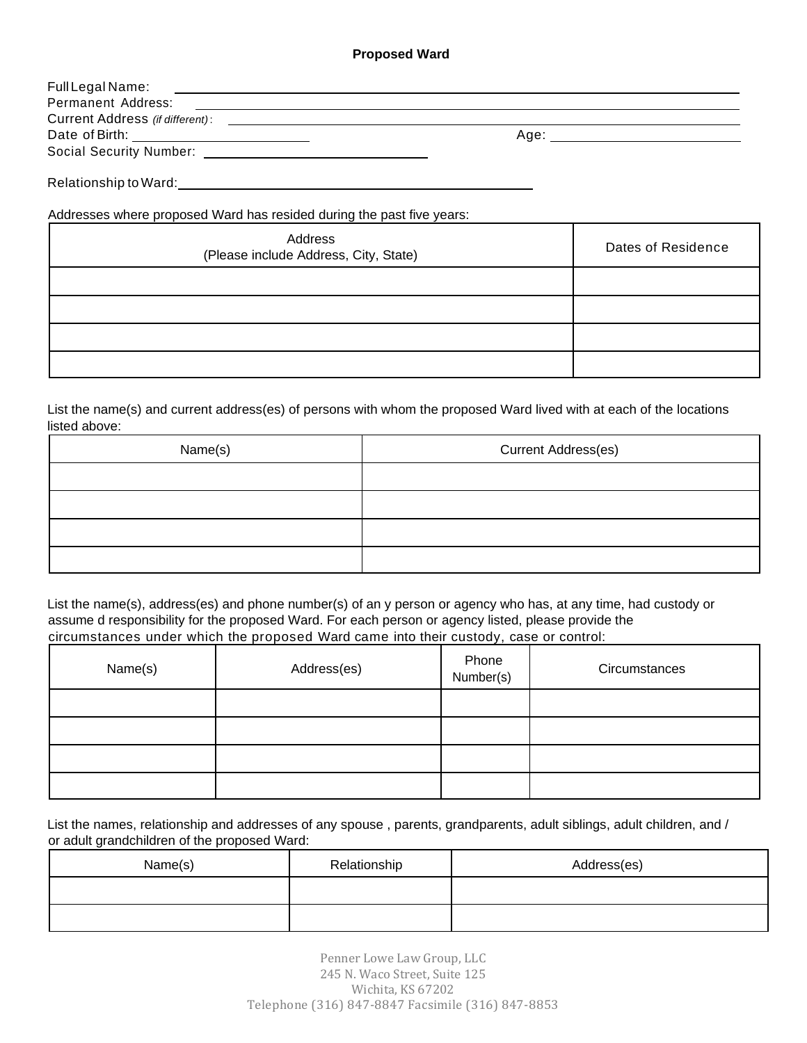## **Proposed Ward**

| Permanent Address: | <u> 1990 - Andrea Andrew Amerikaanse kommunister († 1952)</u>                                                                                                                                                                  |
|--------------------|--------------------------------------------------------------------------------------------------------------------------------------------------------------------------------------------------------------------------------|
|                    |                                                                                                                                                                                                                                |
|                    | Age: the contract of the contract of the contract of the contract of the contract of the contract of the contract of the contract of the contract of the contract of the contract of the contract of the contract of the contr |
|                    |                                                                                                                                                                                                                                |

Relationship toWard:

Addresses where proposed Ward has resided during the past five years:

| Address<br>(Please include Address, City, State) | Dates of Residence |
|--------------------------------------------------|--------------------|
|                                                  |                    |
|                                                  |                    |
|                                                  |                    |
|                                                  |                    |

List the name(s) and current address(es) of persons with whom the proposed Ward lived with at each of the locations listed above:

| Name(s) | <b>Current Address(es)</b> |  |  |
|---------|----------------------------|--|--|
|         |                            |  |  |
|         |                            |  |  |
|         |                            |  |  |
|         |                            |  |  |

List the name(s), address(es) and phone number(s) of an y person or agency who has, at any time, had custody or assume d responsibility for the proposed Ward. For each person or agency listed, please provide the circumstances under which the proposed Ward came into their custody, case or control:

| Name(s) | Address(es) | Phone<br>Number(s) | Circumstances |
|---------|-------------|--------------------|---------------|
|         |             |                    |               |
|         |             |                    |               |
|         |             |                    |               |
|         |             |                    |               |

List the names, relationship and addresses of any spouse , parents, grandparents, adult siblings, adult children, and / or adult grandchildren of the proposed Ward:

| Name(s) | Relationship | Address(es) |
|---------|--------------|-------------|
|         |              |             |
|         |              |             |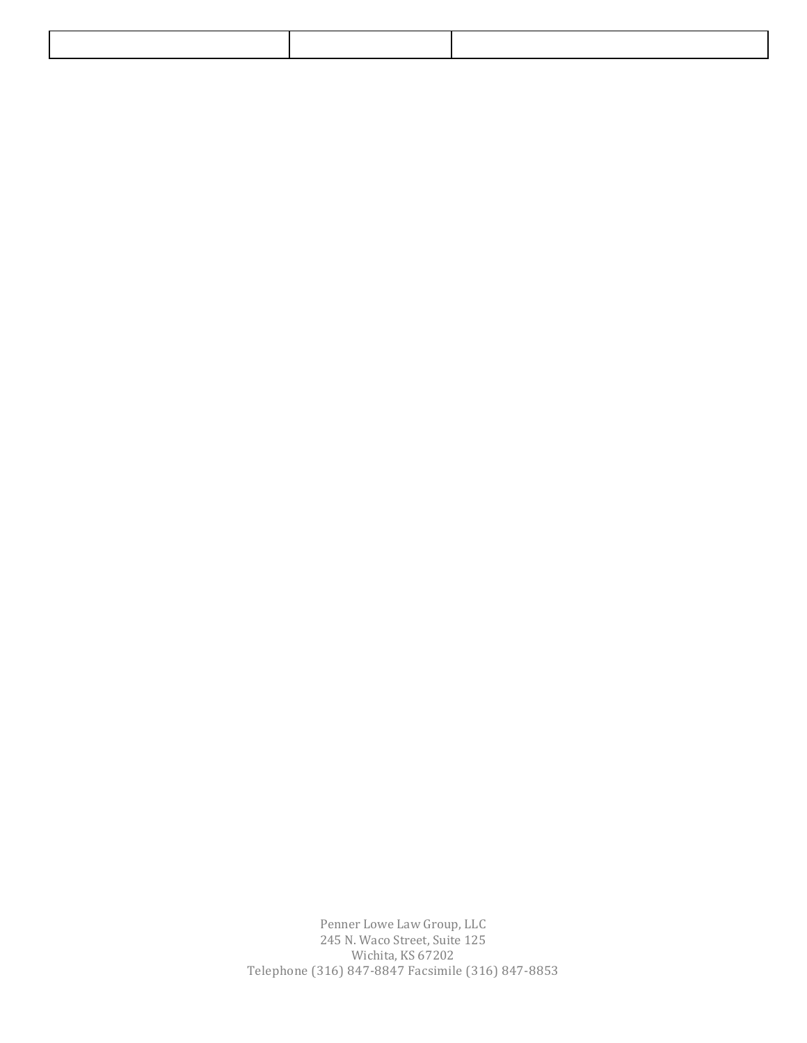Penner Lowe Law Group, LLC 245 N. Waco Street, Suite 125 Wichita, KS 67202 Telephone (316) 847-8847 Facsimile (316) 847-8853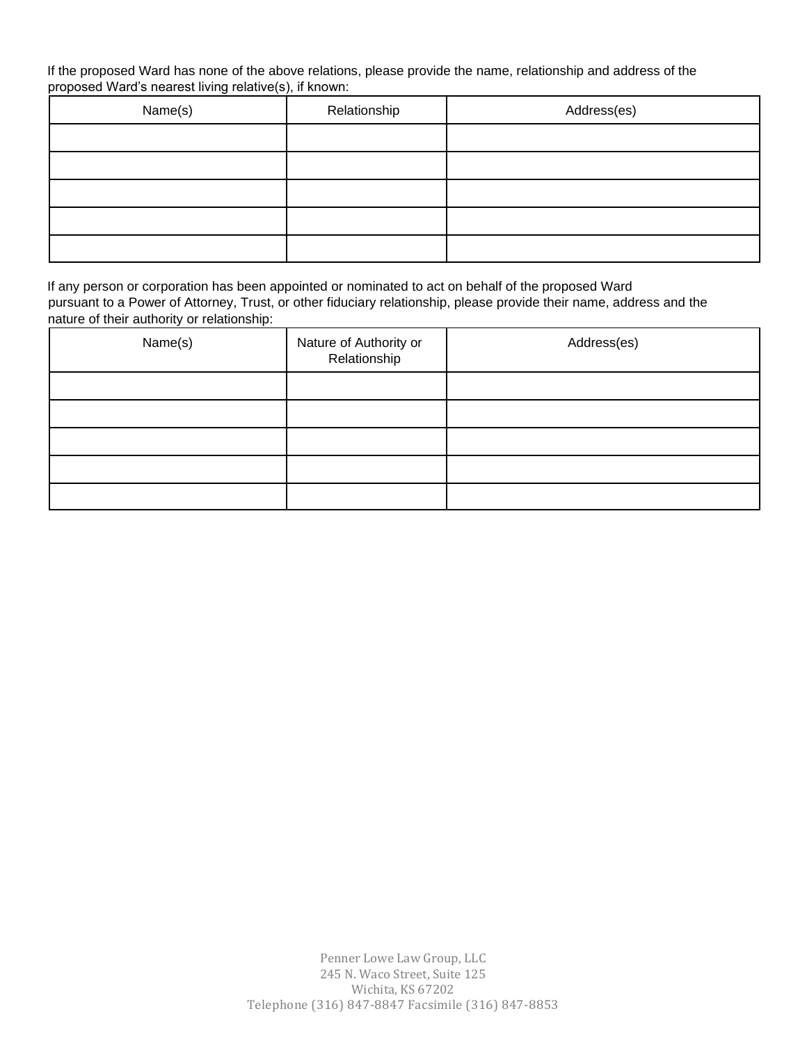If the proposed Ward has none of the above relations, please provide the name, relationship and address of the proposed Ward's nearest living relative(s), if known:

| Name(s) | Relationship | Address(es) |  |
|---------|--------------|-------------|--|
|         |              |             |  |
|         |              |             |  |
|         |              |             |  |
|         |              |             |  |
|         |              |             |  |

If any person or corporation has been appointed or nominated to act on behalf of the proposed Ward pursuant to a Power of Attorney, Trust, or other fiduciary relationship, please provide their name, address and the nature of their authority or relationship:

| Name(s) | Nature of Authority or<br>Relationship | Address(es) |  |
|---------|----------------------------------------|-------------|--|
|         |                                        |             |  |
|         |                                        |             |  |
|         |                                        |             |  |
|         |                                        |             |  |
|         |                                        |             |  |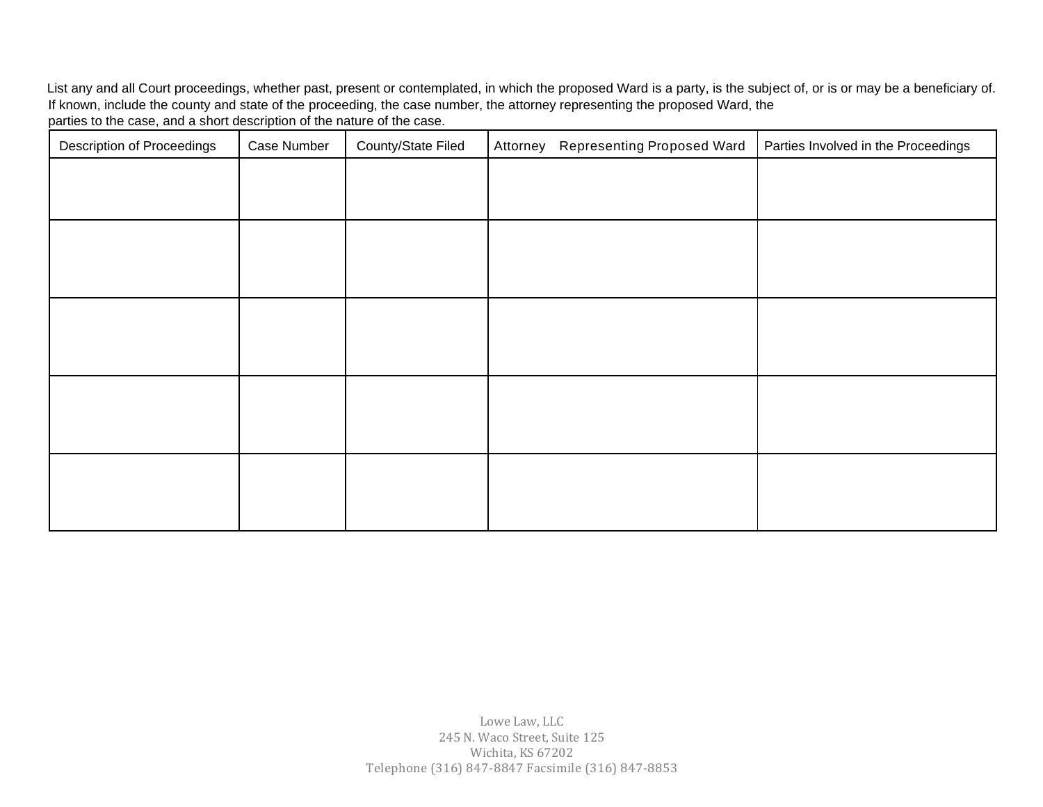List any and all Court proceedings, whether past, present or contemplated, in which the proposed Ward is a party, is the subject of, or is or may be a beneficiary of. If known, include the county and state of the proceeding, the case number, the attorney representing the proposed Ward, the parties to the case, and a short description of the nature of the case.

| <b>Description of Proceedings</b> | Case Number | County/State Filed | Attorney Representing Proposed Ward | Parties Involved in the Proceedings |
|-----------------------------------|-------------|--------------------|-------------------------------------|-------------------------------------|
|                                   |             |                    |                                     |                                     |
|                                   |             |                    |                                     |                                     |
|                                   |             |                    |                                     |                                     |
|                                   |             |                    |                                     |                                     |
|                                   |             |                    |                                     |                                     |
|                                   |             |                    |                                     |                                     |
|                                   |             |                    |                                     |                                     |
|                                   |             |                    |                                     |                                     |
|                                   |             |                    |                                     |                                     |
|                                   |             |                    |                                     |                                     |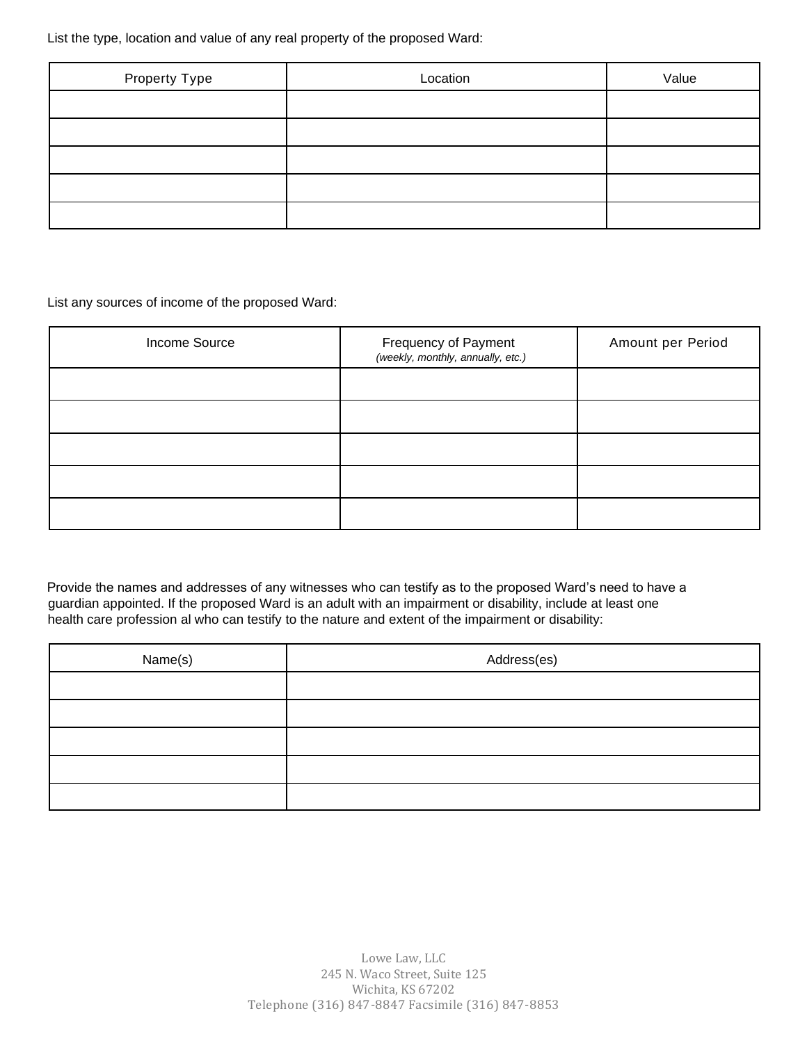List the type, location and value of any real property of the proposed Ward:

| Property Type | Location | Value |
|---------------|----------|-------|
|               |          |       |
|               |          |       |
|               |          |       |
|               |          |       |
|               |          |       |

List any sources of income of the proposed Ward:

| Income Source | Frequency of Payment<br>(weekly, monthly, annually, etc.) | Amount per Period |
|---------------|-----------------------------------------------------------|-------------------|
|               |                                                           |                   |
|               |                                                           |                   |
|               |                                                           |                   |
|               |                                                           |                   |
|               |                                                           |                   |

Provide the names and addresses of any witnesses who can testify as to the proposed Ward's need to have a guardian appointed. If the proposed Ward is an adult with an impairment or disability, include at least one health care profession al who can testify to the nature and extent of the impairment or disability:

| Name(s) | Address(es) |
|---------|-------------|
|         |             |
|         |             |
|         |             |
|         |             |
|         |             |